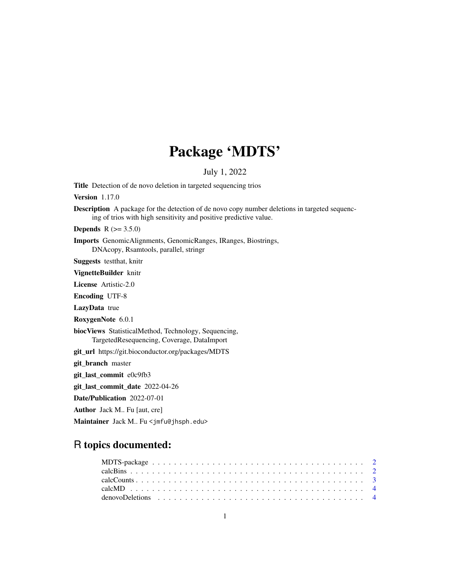# Package 'MDTS'

#### July 1, 2022

Title Detection of de novo deletion in targeted sequencing trios

Version 1.17.0

Description A package for the detection of de novo copy number deletions in targeted sequencing of trios with high sensitivity and positive predictive value.

**Depends** R  $(>= 3.5.0)$ 

Imports GenomicAlignments, GenomicRanges, IRanges, Biostrings, DNAcopy, Rsamtools, parallel, stringr

Suggests testthat, knitr

VignetteBuilder knitr

License Artistic-2.0

Encoding UTF-8

LazyData true

RoxygenNote 6.0.1

biocViews StatisticalMethod, Technology, Sequencing, TargetedResequencing, Coverage, DataImport

git\_url https://git.bioconductor.org/packages/MDTS

git\_branch master

git\_last\_commit e0c9fb3

git\_last\_commit\_date 2022-04-26

Date/Publication 2022-07-01

Author Jack M.. Fu [aut, cre]

Maintainer Jack M.. Fu <jmfu@jhsph.edu>

## R topics documented:

| denovoDeletions $\cdots$ |  |  |  |  |  |  |  |  |  |  |  |  |  |  |  |  |  |  |  |  |
|--------------------------|--|--|--|--|--|--|--|--|--|--|--|--|--|--|--|--|--|--|--|--|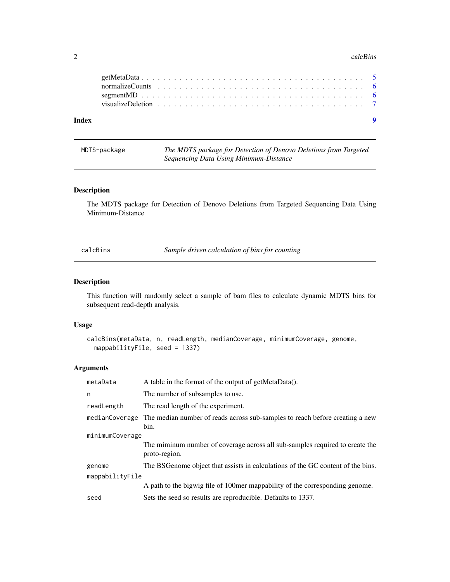#### <span id="page-1-0"></span> $2 \text{ calcBins}$

| $\bullet$<br>Index |  |  |  |  |  |  |  |  |  |  |  |  |  |  |  |  |  |
|--------------------|--|--|--|--|--|--|--|--|--|--|--|--|--|--|--|--|--|

MDTS-package *The MDTS package for Detection of Denovo Deletions from Targeted Sequencing Data Using Minimum-Distance*

#### Description

The MDTS package for Detection of Denovo Deletions from Targeted Sequencing Data Using Minimum-Distance

calcBins *Sample driven calculation of bins for counting*

#### Description

This function will randomly select a sample of bam files to calculate dynamic MDTS bins for subsequent read-depth analysis.

#### Usage

```
calcBins(metaData, n, readLength, medianCoverage, minimumCoverage, genome,
 mappabilityFile, seed = 1337)
```
#### Arguments

| metaData        | A table in the format of the output of getMetaData().                                               |
|-----------------|-----------------------------------------------------------------------------------------------------|
| n               | The number of subsamples to use.                                                                    |
| readLength      | The read length of the experiment.                                                                  |
|                 | medianCoverage The median number of reads across sub-samples to reach before creating a new<br>bin. |
| minimumCoverage |                                                                                                     |
|                 | The miminum number of coverage across all sub-samples required to create the<br>proto-region.       |
| genome          | The BSGenome object that assists in calculations of the GC content of the bins.                     |
| mappabilityFile |                                                                                                     |
|                 | A path to the bigwig file of 100mer mappability of the corresponding genome.                        |
| seed            | Sets the seed so results are reproducible. Defaults to 1337.                                        |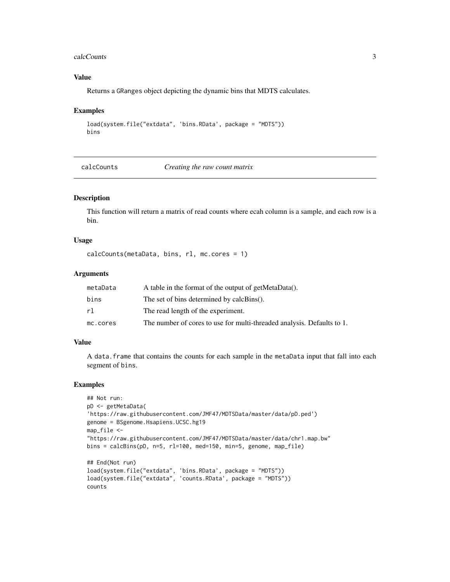#### <span id="page-2-0"></span>calcCounts 3

#### Value

Returns a GRanges object depicting the dynamic bins that MDTS calculates.

#### Examples

```
load(system.file("extdata", 'bins.RData', package = "MDTS"))
bins
```
calcCounts *Creating the raw count matrix*

#### Description

This function will return a matrix of read counts where ecah column is a sample, and each row is a bin.

#### Usage

```
calcCounts(metaData, bins, rl, mc.cores = 1)
```
#### **Arguments**

| metaData | A table in the format of the output of getMetaData().                  |
|----------|------------------------------------------------------------------------|
| bins     | The set of bins determined by calcBins().                              |
| r1.      | The read length of the experiment.                                     |
| mc.cores | The number of cores to use for multi-threaded analysis. Defaults to 1. |

#### Value

A data.frame that contains the counts for each sample in the metaData input that fall into each segment of bins.

#### Examples

```
## Not run:
pD <- getMetaData(
'https://raw.githubusercontent.com/JMF47/MDTSData/master/data/pD.ped')
genome = BSgenome.Hsapiens.UCSC.hg19
map_file <-
"https://raw.githubusercontent.com/JMF47/MDTSData/master/data/chr1.map.bw"
bins = calcBins(pD, n=5, rl=100, med=150, min=5, genome, map_file)
## End(Not run)
load(system.file("extdata", 'bins.RData', package = "MDTS"))
load(system.file("extdata", 'counts.RData', package = "MDTS"))
counts
```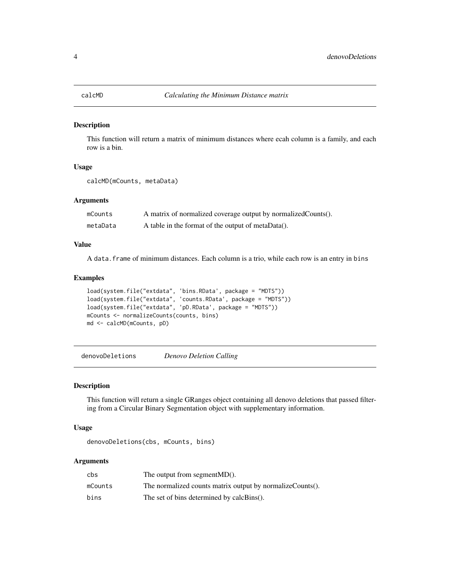<span id="page-3-0"></span>

#### Description

This function will return a matrix of minimum distances where ecah column is a family, and each row is a bin.

#### Usage

```
calcMD(mCounts, metaData)
```
#### Arguments

| mCounts  | A matrix of normalized coverage output by normalized Counts(). |
|----------|----------------------------------------------------------------|
| metaData | A table in the format of the output of metaData().             |

#### Value

A data.frame of minimum distances. Each column is a trio, while each row is an entry in bins

#### Examples

```
load(system.file("extdata", 'bins.RData', package = "MDTS"))
load(system.file("extdata", 'counts.RData', package = "MDTS"))
load(system.file("extdata", 'pD.RData', package = "MDTS"))
mCounts <- normalizeCounts(counts, bins)
md <- calcMD(mCounts, pD)
```
denovoDeletions *Denovo Deletion Calling*

#### Description

This function will return a single GRanges object containing all denovo deletions that passed filtering from a Circular Binary Segmentation object with supplementary information.

#### Usage

```
denovoDeletions(cbs, mCounts, bins)
```
#### Arguments

| cbs     | The output from segment $MD()$ .                          |
|---------|-----------------------------------------------------------|
| mCounts | The normalized counts matrix output by normalizeCounts(). |
| bins    | The set of bins determined by calcBins().                 |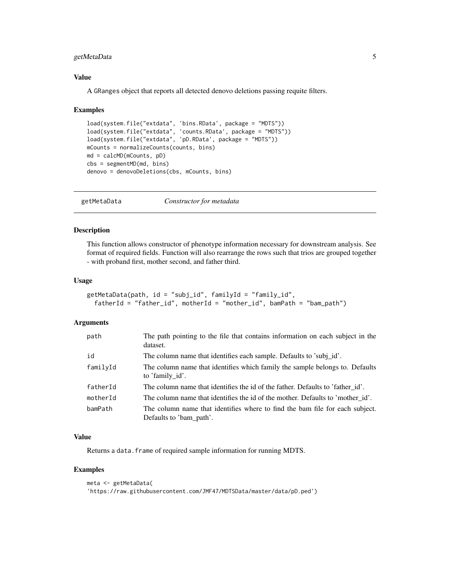#### <span id="page-4-0"></span>getMetaData 5

#### Value

A GRanges object that reports all detected denovo deletions passing requite filters.

#### Examples

```
load(system.file("extdata", 'bins.RData', package = "MDTS"))
load(system.file("extdata", 'counts.RData', package = "MDTS"))
load(system.file("extdata", 'pD.RData', package = "MDTS"))
mCounts = normalizeCounts(counts, bins)
md = calcMD(mCounts, pD)
cbs = segmentMD(md, bins)
denovo = denovoDeletions(cbs, mCounts, bins)
```
getMetaData *Constructor for metadata*

#### Description

This function allows constructor of phenotype information necessary for downstream analysis. See format of required fields. Function will also rearrange the rows such that trios are grouped together - with proband first, mother second, and father third.

#### Usage

```
getMetaData(path, id = "subj_id", familyId = "family_id",
  fatherId = "father_id", motherId = "mother_id", bamPath = "bam_path")
```
#### Arguments

| path     | The path pointing to the file that contains information on each subject in the<br>dataset.              |
|----------|---------------------------------------------------------------------------------------------------------|
| id       | The column name that identifies each sample. Defaults to 'subj_id'.                                     |
| familyId | The column name that identifies which family the sample belongs to. Defaults<br>to 'family id'.         |
| fatherId | The column name that identifies the id of the father. Defaults to 'father_id'.                          |
| motherId | The column name that identifies the id of the mother. Defaults to 'mother id'.                          |
| bamPath  | The column name that identifies where to find the bam file for each subject.<br>Defaults to 'bam_path'. |

#### Value

Returns a data. frame of required sample information for running MDTS.

#### Examples

```
meta <- getMetaData(
'https://raw.githubusercontent.com/JMF47/MDTSData/master/data/pD.ped')
```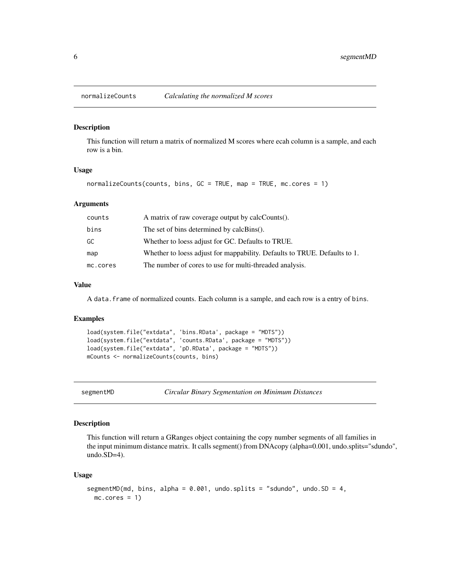#### Description

This function will return a matrix of normalized M scores where ecah column is a sample, and each row is a bin.

#### Usage

```
normalizeCounts(counts, bins, GC = TRUE, map = TRUE, mc.cores = 1)
```
#### Arguments

| counts   | A matrix of raw coverage output by calcCounts().                          |
|----------|---------------------------------------------------------------------------|
| bins     | The set of bins determined by calcBins().                                 |
| GC       | Whether to loess adjust for GC. Defaults to TRUE.                         |
| map      | Whether to loess adjust for mappability. Defaults to TRUE. Defaults to 1. |
| mc.cores | The number of cores to use for multi-threaded analysis.                   |

#### Value

A data.frame of normalized counts. Each column is a sample, and each row is a entry of bins.

#### Examples

```
load(system.file("extdata", 'bins.RData', package = "MDTS"))
load(system.file("extdata", 'counts.RData', package = "MDTS"))
load(system.file("extdata", 'pD.RData', package = "MDTS"))
mCounts <- normalizeCounts(counts, bins)
```
segmentMD *Circular Binary Segmentation on Minimum Distances*

#### Description

This function will return a GRanges object containing the copy number segments of all families in the input minimum distance matrix. It calls segment() from DNAcopy (alpha=0.001, undo.splits="sdundo", undo.SD=4).

#### Usage

```
segmentMD(md, bins, alpha = 0.001, undo.splits = "sdundo", undo.SD = 4,
 mc.core = 1)
```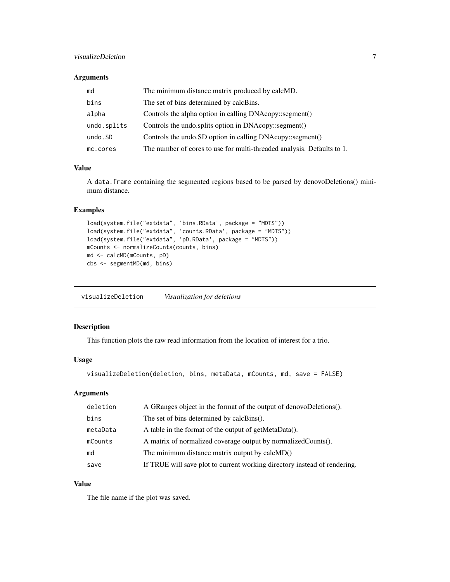#### <span id="page-6-0"></span>visualizeDeletion 7

#### Arguments

| md          | The minimum distance matrix produced by calcMD.                        |
|-------------|------------------------------------------------------------------------|
| bins        | The set of bins determined by calcBins.                                |
| alpha       | Controls the alpha option in calling DNAcopy::segment()                |
| undo.splits | Controls the undo splits option in DNAcopy: segment()                  |
| undo.SD     | Controls the undo.SD option in calling DNAcopy::segment()              |
| mc.cores    | The number of cores to use for multi-threaded analysis. Defaults to 1. |

#### Value

A data.frame containing the segmented regions based to be parsed by denovoDeletions() minimum distance.

#### Examples

```
load(system.file("extdata", 'bins.RData', package = "MDTS"))
load(system.file("extdata", 'counts.RData', package = "MDTS"))
load(system.file("extdata", 'pD.RData', package = "MDTS"))
mCounts <- normalizeCounts(counts, bins)
md <- calcMD(mCounts, pD)
cbs <- segmentMD(md, bins)
```
visualizeDeletion *Visualization for deletions*

#### Description

This function plots the raw read information from the location of interest for a trio.

#### Usage

```
visualizeDeletion(deletion, bins, metaData, mCounts, md, save = FALSE)
```
#### Arguments

| deletion | A GRanges object in the format of the output of denoveDeletions().        |
|----------|---------------------------------------------------------------------------|
| bins     | The set of bins determined by calcBins().                                 |
| metaData | A table in the format of the output of getMetaData().                     |
| mCounts  | A matrix of normalized coverage output by normalized Counts().            |
| md       | The minimum distance matrix output by calcMD()                            |
| save     | If TRUE will save plot to current working directory instead of rendering. |

#### Value

The file name if the plot was saved.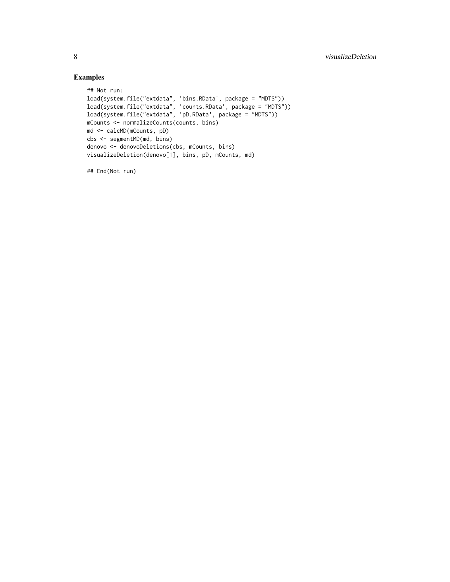### Examples

```
## Not run:
load(system.file("extdata", 'bins.RData', package = "MDTS"))
load(system.file("extdata", 'counts.RData', package = "MDTS"))
load(system.file("extdata", 'pD.RData', package = "MDTS"))
mCounts <- normalizeCounts(counts, bins)
md <- calcMD(mCounts, pD)
cbs <- segmentMD(md, bins)
denovo <- denovoDeletions(cbs, mCounts, bins)
visualizeDeletion(denovo[1], bins, pD, mCounts, md)
```
## End(Not run)